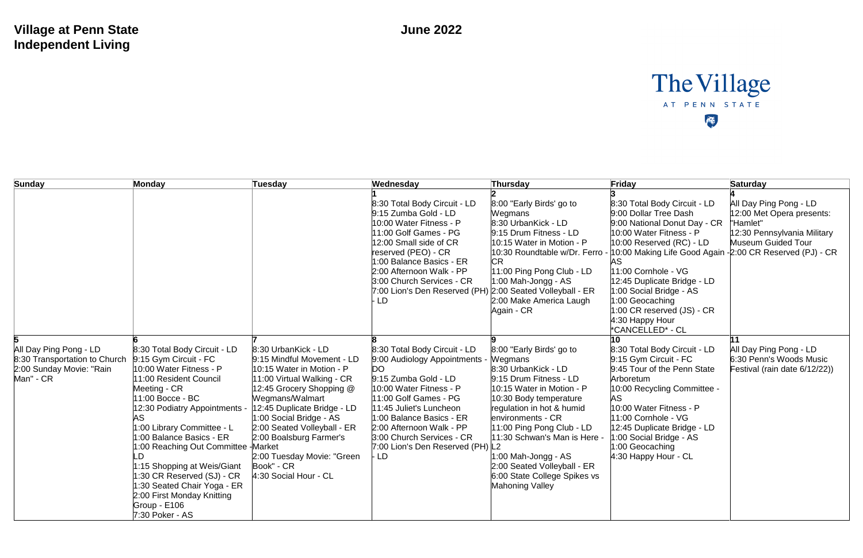## **Village at Penn State Independent Living**

| Sunday                                                                                           | Monday                                                                                                                                                                                                                                                                                                                                                                                                                                           | <b>Tuesday</b>                                                                                                                                                                                                                                                                                                                                         | Wednesday                                                                                                                                                                                                                                                                                               | Thursday                                                                                                                                                                                                                                                                                                                                                                   | Friday                                                                                                                                                                                                                                                                                                                                                                                         | <b>Saturday</b>                                                                                                      |
|--------------------------------------------------------------------------------------------------|--------------------------------------------------------------------------------------------------------------------------------------------------------------------------------------------------------------------------------------------------------------------------------------------------------------------------------------------------------------------------------------------------------------------------------------------------|--------------------------------------------------------------------------------------------------------------------------------------------------------------------------------------------------------------------------------------------------------------------------------------------------------------------------------------------------------|---------------------------------------------------------------------------------------------------------------------------------------------------------------------------------------------------------------------------------------------------------------------------------------------------------|----------------------------------------------------------------------------------------------------------------------------------------------------------------------------------------------------------------------------------------------------------------------------------------------------------------------------------------------------------------------------|------------------------------------------------------------------------------------------------------------------------------------------------------------------------------------------------------------------------------------------------------------------------------------------------------------------------------------------------------------------------------------------------|----------------------------------------------------------------------------------------------------------------------|
|                                                                                                  |                                                                                                                                                                                                                                                                                                                                                                                                                                                  |                                                                                                                                                                                                                                                                                                                                                        | 8:30 Total Body Circuit - LD<br>9:15 Zumba Gold - LD<br>10:00 Water Fitness - P<br>11:00 Golf Games - PG<br>12:00 Small side of CR<br>reserved (PEO) - CR<br>1:00 Balance Basics - ER<br>2:00 Afternoon Walk - PP<br>3:00 Church Services - CR<br>7:00 Lion's Den Reserved (PH)<br>LD                   | 8:00 "Early Birds' go to<br>Wegmans<br>8:30 UrbanKick - LD<br>9:15 Drum Fitness - LD<br>10:15 Water in Motion - P<br>10:30 Roundtable w/Dr. Ferro -<br><b>CR</b><br>11:00 Ping Pong Club - LD<br>$1:00$ Mah-Jongg - AS<br>2:00 Seated Volleyball - ER<br>2:00 Make America Laugh<br>Again - CR                                                                             | 8:30 Total Body Circuit - LD<br>9:00 Dollar Tree Dash<br>9:00 National Donut Day - CR<br>10:00 Water Fitness - P<br>$10:00$ Reserved (RC) - LD<br>10:00 Making Life Good Again - 2:00 CR Reserved (PJ) - CR<br>AS<br>11:00 Cornhole - VG<br>12:45 Duplicate Bridge - LD<br>1:00 Social Bridge - AS<br>1:00 Geocaching<br>$1:00$ CR reserved $(JS)$ - CR<br>4:30 Happy Hour<br>*CANCELLED* - CL | All Day Ping Pong - LD<br>12:00 Met Opera presents:<br>'Hamlet"<br>12:30 Pennsylvania Military<br>Museum Guided Tour |
| All Day Ping Pong - LD<br>8:30 Transportation to Church<br>2:00 Sunday Movie: "Rain<br>Man" - CR | 8:30 Total Body Circuit - LD<br>9:15 Gym Circuit - FC<br>10:00 Water Fitness - P<br>11:00 Resident Council<br>Meeting - CR<br>11:00 Bocce - BC<br>12:30 Podiatry Appointments -<br>1:00 Library Committee - L<br>1:00 Balance Basics - ER<br>1:00 Reaching Out Committee - Market<br>1:15 Shopping at Weis/Giant<br>1:30 CR Reserved (SJ) - CR<br>1:30 Seated Chair Yoga - ER<br>2:00 First Monday Knitting<br>Group - E106<br>$7:30$ Poker - AS | 8:30 UrbanKick - LD<br>9:15 Mindful Movement - LD<br>$10:15$ Water in Motion - P<br>11:00 Virtual Walking - CR<br>12:45 Grocery Shopping @<br>Wegmans/Walmart<br>12:45 Duplicate Bridge - LD<br>1:00 Social Bridge - AS<br>2:00 Seated Volleyball - ER<br>2:00 Boalsburg Farmer's<br>2:00 Tuesday Movie: "Green<br>Book" - CR<br>4:30 Social Hour - CL | 8:30 Total Body Circuit - LD<br>9:00 Audiology Appointments -<br>DO.<br>9:15 Zumba Gold - LD<br>10:00 Water Fitness - P<br>11:00 Golf Games - PG<br>11:45 Juliet's Luncheon<br>1:00 Balance Basics - ER<br>2:00 Afternoon Walk - PP<br>3:00 Church Services - CR<br>7:00 Lion's Den Reserved (PH)<br>LD | 8:00 "Early Birds' go to<br>Wegmans<br>8:30 UrbanKick - LD<br>9:15 Drum Fitness - LD<br>10:15 Water in Motion - P<br>10:30 Body temperature<br>regulation in hot & humid<br>environments - CR<br>11:00 Ping Pong Club - LD<br>11:30 Schwan's Man is Here -<br>1:00 Mah-Jongg - AS<br>2:00 Seated Volleyball - ER<br>6:00 State College Spikes vs<br><b>Mahoning Valley</b> | 10<br>8:30 Total Body Circuit - LD<br>$9:15$ Gym Circuit - FC<br>9:45 Tour of the Penn State<br>Arboretum<br>10:00 Recycling Committee -<br>AS<br>10:00 Water Fitness - P<br>11:00 Cornhole - VG<br>12:45 Duplicate Bridge - LD<br>1:00 Social Bridge - AS<br>1:00 Geocaching<br>4:30 Happy Hour - CL                                                                                          | All Day Ping Pong - LD<br>6:30 Penn's Woods Music<br>Festival (rain date 6/12/22))                                   |

## The Village AT PENN STATE E